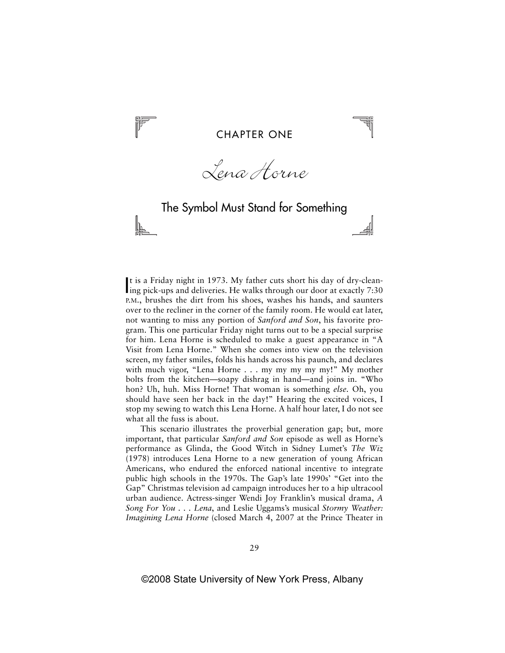# CHAPTER ONE

Lena Horne

The Symbol Must Stand for Something╚

It is a Friday night in 1973. My father cuts short his day of dry-cleaning pick-ups and deliveries. He walks through our door at exactly 7:30 t is a Friday night in 1973. My father cuts short his day of dry-clean-P.M., brushes the dirt from his shoes, washes his hands, and saunters over to the recliner in the corner of the family room. He would eat later, not wanting to miss any portion of *Sanford and Son*, his favorite program. This one particular Friday night turns out to be a special surprise for him. Lena Horne is scheduled to make a guest appearance in "A Visit from Lena Horne." When she comes into view on the television screen, my father smiles, folds his hands across his paunch, and declares with much vigor, "Lena Horne . . . my my my my my!" My mother bolts from the kitchen—soapy dishrag in hand—and joins in. "Who hon? Uh, huh. Miss Horne! That woman is something *else.* Oh, you should have seen her back in the day!" Hearing the excited voices, I stop my sewing to watch this Lena Horne. A half hour later, I do not see what all the fuss is about.

This scenario illustrates the proverbial generation gap; but, more important, that particular *Sanford and Son* episode as well as Horne's performance as Glinda, the Good Witch in Sidney Lumet's *The Wiz* (1978) introduces Lena Horne to a new generation of young African Americans, who endured the enforced national incentive to integrate public high schools in the 1970s. The Gap's late 1990s' "Get into the Gap" Christmas television ad campaign introduces her to a hip ultracool urban audience. Actress-singer Wendi Joy Franklin's musical drama, *A Song For You . . . Lena*, and Leslie Uggams's musical *Stormy Weather: Imagining Lena Horne* (closed March 4, 2007 at the Prince Theater in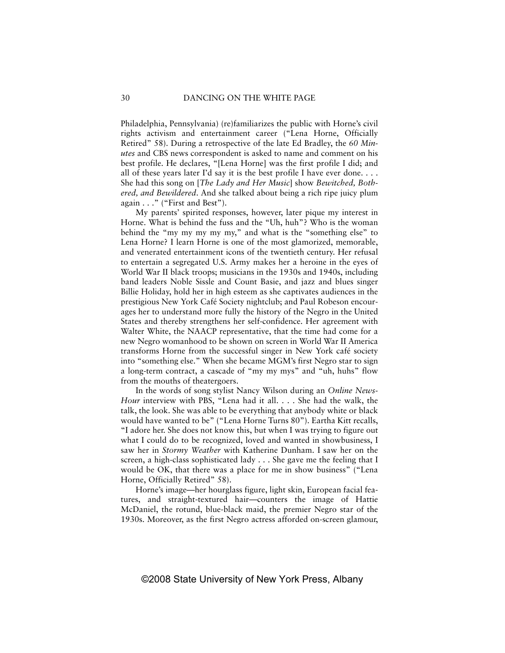Philadelphia, Pennsylvania) (re)familiarizes the public with Horne's civil rights activism and entertainment career ("Lena Horne, Officially Retired" 58). During a retrospective of the late Ed Bradley, the *60 Minutes* and CBS news correspondent is asked to name and comment on his best profile. He declares, "[Lena Horne] was the first profile I did; and all of these years later I'd say it is the best profile I have ever done.... She had this song on [*The Lady and Her Music*] show *Bewitched, Bothered, and Bewildered*. And she talked about being a rich ripe juicy plum again . . ." ("First and Best").

My parents' spirited responses, however, later pique my interest in Horne. What is behind the fuss and the "Uh, huh"? Who is the woman behind the "my my my my my," and what is the "something else" to Lena Horne? I learn Horne is one of the most glamorized, memorable, and venerated entertainment icons of the twentieth century. Her refusal to entertain a segregated U.S. Army makes her a heroine in the eyes of World War II black troops; musicians in the 1930s and 1940s, including band leaders Noble Sissle and Count Basie, and jazz and blues singer Billie Holiday, hold her in high esteem as she captivates audiences in the prestigious New York Café Society nightclub; and Paul Robeson encourages her to understand more fully the history of the Negro in the United States and thereby strengthens her self-confidence. Her agreement with Walter White, the NAACP representative, that the time had come for a new Negro womanhood to be shown on screen in World War II America transforms Horne from the successful singer in New York café society into "something else." When she became MGM's first Negro star to sign a long-term contract, a cascade of "my my mys" and "uh, huhs" flow from the mouths of theatergoers.

In the words of song stylist Nancy Wilson during an *Online News-Hour* interview with PBS, "Lena had it all. . . . She had the walk, the talk, the look. She was able to be everything that anybody white or black would have wanted to be" ("Lena Horne Turns 80"). Eartha Kitt recalls, "I adore her. She does not know this, but when I was trying to figure out what I could do to be recognized, loved and wanted in showbusiness, I saw her in *Stormy Weather* with Katherine Dunham. I saw her on the screen, a high-class sophisticated lady . . . She gave me the feeling that I would be OK, that there was a place for me in show business" ("Lena Horne, Officially Retired" 58).

Horne's image—her hourglass figure, light skin, European facial features, and straight-textured hair—counters the image of Hattie McDaniel, the rotund, blue-black maid, the premier Negro star of the 1930s. Moreover, as the first Negro actress afforded on-screen glamour,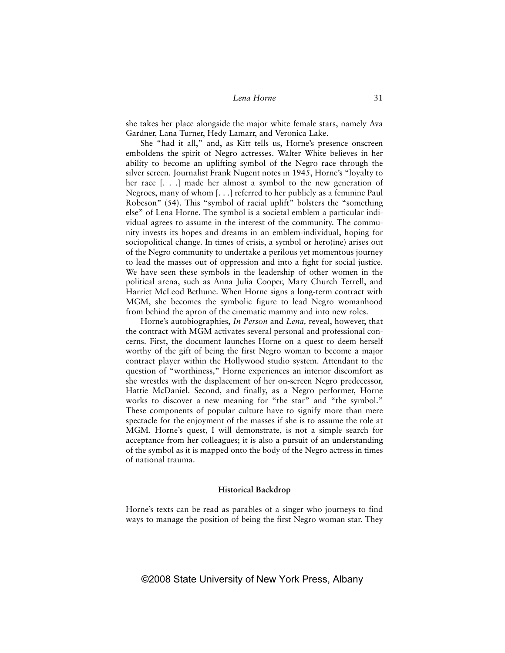she takes her place alongside the major white female stars, namely Ava Gardner, Lana Turner, Hedy Lamarr, and Veronica Lake.

She "had it all," and, as Kitt tells us, Horne's presence onscreen emboldens the spirit of Negro actresses. Walter White believes in her ability to become an uplifting symbol of the Negro race through the silver screen. Journalist Frank Nugent notes in 1945, Horne's "loyalty to her race  $[$ ...] made her almost a symbol to the new generation of Negroes, many of whom [. . .] referred to her publicly as a feminine Paul Robeson" (54). This "symbol of racial uplift" bolsters the "something else" of Lena Horne. The symbol is a societal emblem a particular individual agrees to assume in the interest of the community. The community invests its hopes and dreams in an emblem-individual, hoping for sociopolitical change. In times of crisis, a symbol or hero(ine) arises out of the Negro community to undertake a perilous yet momentous journey to lead the masses out of oppression and into a fight for social justice. We have seen these symbols in the leadership of other women in the political arena, such as Anna Julia Cooper, Mary Church Terrell, and Harriet McLeod Bethune. When Horne signs a long-term contract with MGM, she becomes the symbolic figure to lead Negro womanhood from behind the apron of the cinematic mammy and into new roles.

Horne's autobiographies, *In Person* and *Lena,* reveal, however, that the contract with MGM activates several personal and professional concerns. First, the document launches Horne on a quest to deem herself worthy of the gift of being the first Negro woman to become a major contract player within the Hollywood studio system. Attendant to the question of "worthiness," Horne experiences an interior discomfort as she wrestles with the displacement of her on-screen Negro predecessor, Hattie McDaniel. Second, and finally, as a Negro performer, Horne works to discover a new meaning for "the star" and "the symbol." These components of popular culture have to signify more than mere spectacle for the enjoyment of the masses if she is to assume the role at MGM. Horne's quest, I will demonstrate, is not a simple search for acceptance from her colleagues; it is also a pursuit of an understanding of the symbol as it is mapped onto the body of the Negro actress in times of national trauma.

## **Historical Backdrop**

Horne's texts can be read as parables of a singer who journeys to find ways to manage the position of being the first Negro woman star. They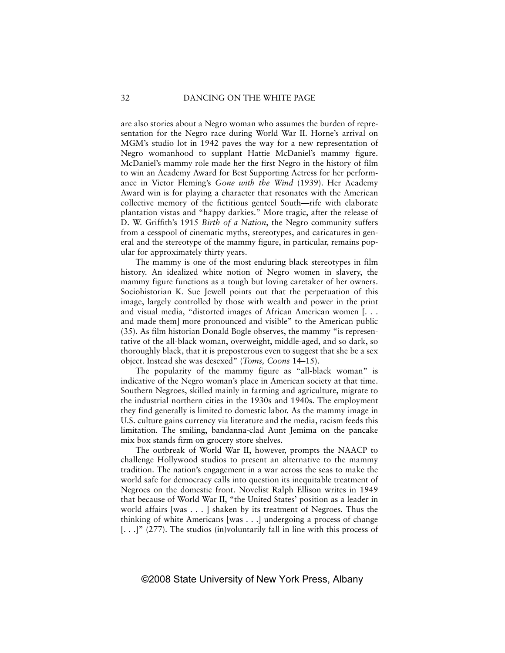are also stories about a Negro woman who assumes the burden of representation for the Negro race during World War II. Horne's arrival on MGM's studio lot in 1942 paves the way for a new representation of Negro womanhood to supplant Hattie McDaniel's mammy figure. McDaniel's mammy role made her the first Negro in the history of film to win an Academy Award for Best Supporting Actress for her performance in Victor Fleming's *Gone with the Wind* (1939). Her Academy Award win is for playing a character that resonates with the American collective memory of the fictitious genteel South—rife with elaborate plantation vistas and "happy darkies." More tragic, after the release of D. W. Griffith's 1915 *Birth of a Nation*, the Negro community suffers from a cesspool of cinematic myths, stereotypes, and caricatures in general and the stereotype of the mammy figure, in particular, remains popular for approximately thirty years.

The mammy is one of the most enduring black stereotypes in film history. An idealized white notion of Negro women in slavery, the mammy figure functions as a tough but loving caretaker of her owners. Sociohistorian K. Sue Jewell points out that the perpetuation of this image, largely controlled by those with wealth and power in the print and visual media, "distorted images of African American women [. . . and made them] more pronounced and visible" to the American public (35). As film historian Donald Bogle observes, the mammy "is representative of the all-black woman, overweight, middle-aged, and so dark, so thoroughly black, that it is preposterous even to suggest that she be a sex object. Instead she was desexed" (*Toms, Coons* 14–15).

The popularity of the mammy figure as "all-black woman" is indicative of the Negro woman's place in American society at that time. Southern Negroes, skilled mainly in farming and agriculture, migrate to the industrial northern cities in the 1930s and 1940s. The employment they find generally is limited to domestic labor. As the mammy image in U.S. culture gains currency via literature and the media, racism feeds this limitation. The smiling, bandanna-clad Aunt Jemima on the pancake mix box stands firm on grocery store shelves.

The outbreak of World War II, however, prompts the NAACP to challenge Hollywood studios to present an alternative to the mammy tradition. The nation's engagement in a war across the seas to make the world safe for democracy calls into question its inequitable treatment of Negroes on the domestic front. Novelist Ralph Ellison writes in 1949 that because of World War II, "the United States' position as a leader in world affairs [was ...] shaken by its treatment of Negroes. Thus the thinking of white Americans [was . . .] undergoing a process of change [. . .]" (277). The studios (in)voluntarily fall in line with this process of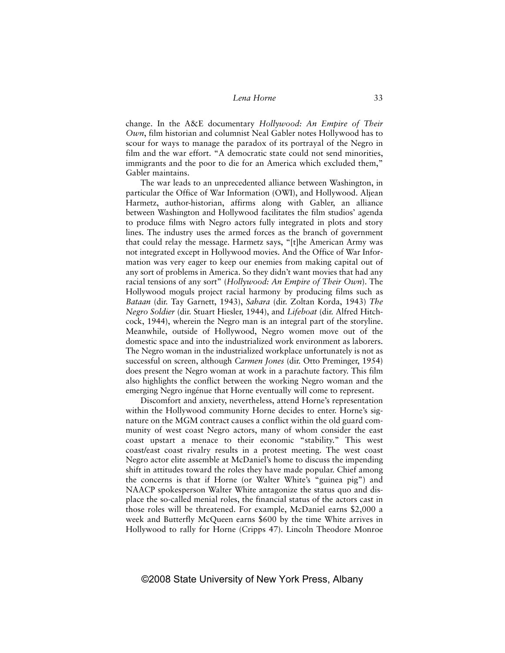change. In the A&E documentary *Hollywood: An Empire of Their Own*, film historian and columnist Neal Gabler notes Hollywood has to scour for ways to manage the paradox of its portrayal of the Negro in film and the war effort. "A democratic state could not send minorities, immigrants and the poor to die for an America which excluded them," Gabler maintains.

The war leads to an unprecedented alliance between Washington, in particular the Office of War Information (OWI), and Hollywood. Aljean Harmetz, author-historian, affirms along with Gabler, an alliance between Washington and Hollywood facilitates the film studios' agenda to produce films with Negro actors fully integrated in plots and story lines. The industry uses the armed forces as the branch of government that could relay the message. Harmetz says, "[t]he American Army was not integrated except in Hollywood movies. And the Office of War Information was very eager to keep our enemies from making capital out of any sort of problems in America. So they didn't want movies that had any racial tensions of any sort" (*Hollywood: An Empire of Their Own*). The Hollywood moguls project racial harmony by producing films such as *Bataan* (dir. Tay Garnett, 1943), *Sahara* (dir. Zoltan Korda, 1943) *The Negro Soldier* (dir. Stuart Hiesler, 1944), and *Lifeboat* (dir. Alfred Hitchcock, 1944), wherein the Negro man is an integral part of the storyline. Meanwhile, outside of Hollywood, Negro women move out of the domestic space and into the industrialized work environment as laborers. The Negro woman in the industrialized workplace unfortunately is not as successful on screen, although *Carmen Jones* (dir. Otto Preminger, 1954) does present the Negro woman at work in a parachute factory. This film also highlights the conflict between the working Negro woman and the emerging Negro ingénue that Horne eventually will come to represent.

Discomfort and anxiety, nevertheless, attend Horne's representation within the Hollywood community Horne decides to enter. Horne's signature on the MGM contract causes a conflict within the old guard community of west coast Negro actors, many of whom consider the east coast upstart a menace to their economic "stability." This west coast/east coast rivalry results in a protest meeting. The west coast Negro actor elite assemble at McDaniel's home to discuss the impending shift in attitudes toward the roles they have made popular. Chief among the concerns is that if Horne (or Walter White's "guinea pig") and NAACP spokesperson Walter White antagonize the status quo and displace the so-called menial roles, the financial status of the actors cast in those roles will be threatened. For example, McDaniel earns \$2,000 a week and Butterfly McQueen earns \$600 by the time White arrives in Hollywood to rally for Horne (Cripps 47). Lincoln Theodore Monroe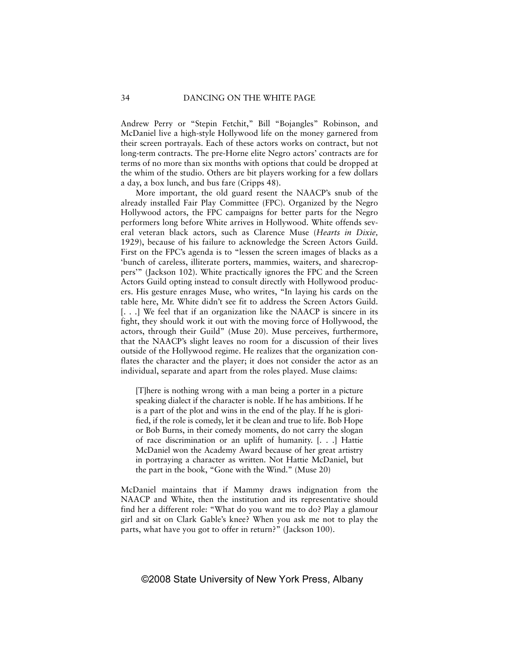Andrew Perry or "Stepin Fetchit," Bill "Bojangles" Robinson, and McDaniel live a high-style Hollywood life on the money garnered from their screen portrayals. Each of these actors works on contract, but not long-term contracts. The pre-Horne elite Negro actors' contracts are for terms of no more than six months with options that could be dropped at the whim of the studio. Others are bit players working for a few dollars a day, a box lunch, and bus fare (Cripps 48).

More important, the old guard resent the NAACP's snub of the already installed Fair Play Committee (FPC). Organized by the Negro Hollywood actors, the FPC campaigns for better parts for the Negro performers long before White arrives in Hollywood. White offends several veteran black actors, such as Clarence Muse (*Hearts in Dixie,* 1929), because of his failure to acknowledge the Screen Actors Guild. First on the FPC's agenda is to "lessen the screen images of blacks as a 'bunch of careless, illiterate porters, mammies, waiters, and sharecroppers'" (Jackson 102). White practically ignores the FPC and the Screen Actors Guild opting instead to consult directly with Hollywood producers. His gesture enrages Muse, who writes, "In laying his cards on the table here, Mr. White didn't see fit to address the Screen Actors Guild. [. . .] We feel that if an organization like the NAACP is sincere in its fight, they should work it out with the moving force of Hollywood, the actors, through their Guild" (Muse 20). Muse perceives, furthermore, that the NAACP's slight leaves no room for a discussion of their lives outside of the Hollywood regime. He realizes that the organization conflates the character and the player; it does not consider the actor as an individual, separate and apart from the roles played. Muse claims:

[T]here is nothing wrong with a man being a porter in a picture speaking dialect if the character is noble. If he has ambitions. If he is a part of the plot and wins in the end of the play. If he is glorified, if the role is comedy, let it be clean and true to life. Bob Hope or Bob Burns, in their comedy moments, do not carry the slogan of race discrimination or an uplift of humanity. [. . .] Hattie McDaniel won the Academy Award because of her great artistry in portraying a character as written. Not Hattie McDaniel, but the part in the book, "Gone with the Wind." (Muse 20)

McDaniel maintains that if Mammy draws indignation from the NAACP and White, then the institution and its representative should find her a different role: "What do you want me to do? Play a glamour girl and sit on Clark Gable's knee? When you ask me not to play the parts, what have you got to offer in return?" (Jackson 100).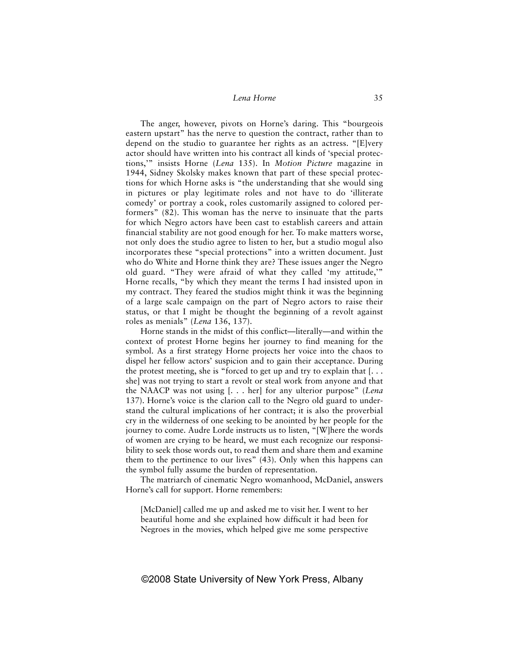The anger, however, pivots on Horne's daring. This "bourgeois eastern upstart" has the nerve to question the contract, rather than to depend on the studio to guarantee her rights as an actress. "[E]very actor should have written into his contract all kinds of 'special protections,'" insists Horne (*Lena* 135). In *Motion Picture* magazine in 1944, Sidney Skolsky makes known that part of these special protections for which Horne asks is "the understanding that she would sing in pictures or play legitimate roles and not have to do 'illiterate comedy' or portray a cook, roles customarily assigned to colored performers" (82). This woman has the nerve to insinuate that the parts for which Negro actors have been cast to establish careers and attain financial stability are not good enough for her. To make matters worse, not only does the studio agree to listen to her, but a studio mogul also incorporates these "special protections" into a written document. Just who do White and Horne think they are? These issues anger the Negro old guard. "They were afraid of what they called 'my attitude,'" Horne recalls, "by which they meant the terms I had insisted upon in my contract. They feared the studios might think it was the beginning of a large scale campaign on the part of Negro actors to raise their status, or that I might be thought the beginning of a revolt against roles as menials" (*Lena* 136, 137).

Horne stands in the midst of this conflict—literally—and within the context of protest Horne begins her journey to find meaning for the symbol. As a first strategy Horne projects her voice into the chaos to dispel her fellow actors' suspicion and to gain their acceptance. During the protest meeting, she is "forced to get up and try to explain that  $[...]$ she] was not trying to start a revolt or steal work from anyone and that the NAACP was not using [. . . her] for any ulterior purpose" (*Lena* 137). Horne's voice is the clarion call to the Negro old guard to understand the cultural implications of her contract; it is also the proverbial cry in the wilderness of one seeking to be anointed by her people for the journey to come. Audre Lorde instructs us to listen, "[W]here the words of women are crying to be heard, we must each recognize our responsibility to seek those words out, to read them and share them and examine them to the pertinence to our lives" (43). Only when this happens can the symbol fully assume the burden of representation.

The matriarch of cinematic Negro womanhood, McDaniel, answers Horne's call for support. Horne remembers:

[McDaniel] called me up and asked me to visit her. I went to her beautiful home and she explained how difficult it had been for Negroes in the movies, which helped give me some perspective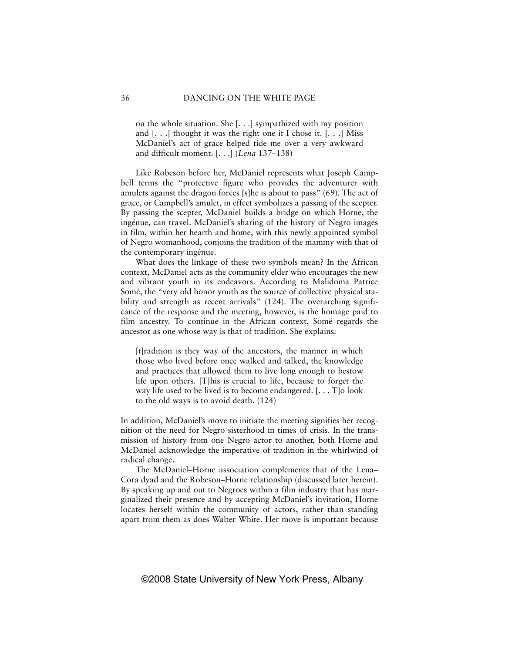on the whole situation. She [. . .] sympathized with my position and [. . .] thought it was the right one if I chose it. [. . .] Miss McDaniel's act of grace helped tide me over a very awkward and difficult moment. [. . .] (*Lena* 137–138)

Like Robeson before her, McDaniel represents what Joseph Campbell terms the "protective figure who provides the adventurer with amulets against the dragon forces [s]he is about to pass" (69). The act of grace, or Campbell's amulet, in effect symbolizes a passing of the scepter. By passing the scepter, McDaniel builds a bridge on which Horne, the ingénue, can travel. McDaniel's sharing of the history of Negro images in film, within her hearth and home, with this newly appointed symbol of Negro womanhood, conjoins the tradition of the mammy with that of the contemporary ingénue.

What does the linkage of these two symbols mean? In the African context, McDaniel acts as the community elder who encourages the new and vibrant youth in its endeavors. According to Malidoma Patrice Somé, the "very old honor youth as the source of collective physical stability and strength as recent arrivals" (124). The overarching significance of the response and the meeting, however, is the homage paid to film ancestry. To continue in the African context, Somé regards the ancestor as one whose way is that of tradition. She explains:

[t]radition is they way of the ancestors, the manner in which those who lived before once walked and talked, the knowledge and practices that allowed them to live long enough to bestow life upon others. [T]his is crucial to life, because to forget the way life used to be lived is to become endangered. [. . . T]o look to the old ways is to avoid death. (124)

In addition, McDaniel's move to initiate the meeting signifies her recognition of the need for Negro sisterhood in times of crisis. In the transmission of history from one Negro actor to another, both Horne and McDaniel acknowledge the imperative of tradition in the whirlwind of radical change.

The McDaniel–Horne association complements that of the Lena– Cora dyad and the Robeson–Horne relationship (discussed later herein). By speaking up and out to Negroes within a film industry that has marginalized their presence and by accepting McDaniel's invitation, Horne locates herself within the community of actors, rather than standing apart from them as does Walter White. Her move is important because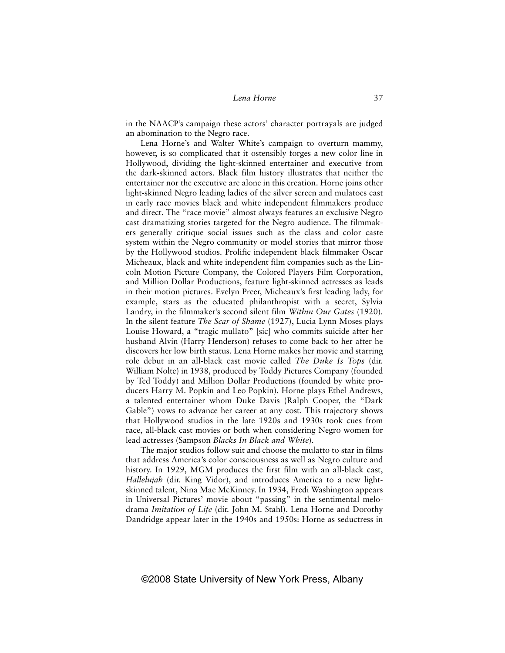in the NAACP's campaign these actors' character portrayals are judged an abomination to the Negro race.

Lena Horne's and Walter White's campaign to overturn mammy, however, is so complicated that it ostensibly forges a new color line in Hollywood, dividing the light-skinned entertainer and executive from the dark-skinned actors. Black film history illustrates that neither the entertainer nor the executive are alone in this creation. Horne joins other light-skinned Negro leading ladies of the silver screen and mulatoes cast in early race movies black and white independent filmmakers produce and direct. The "race movie" almost always features an exclusive Negro cast dramatizing stories targeted for the Negro audience. The filmmakers generally critique social issues such as the class and color caste system within the Negro community or model stories that mirror those by the Hollywood studios. Prolific independent black filmmaker Oscar Micheaux, black and white independent film companies such as the Lincoln Motion Picture Company, the Colored Players Film Corporation, and Million Dollar Productions, feature light-skinned actresses as leads in their motion pictures. Evelyn Preer, Micheaux's first leading lady, for example, stars as the educated philanthropist with a secret, Sylvia Landry, in the filmmaker's second silent film *Within Our Gates* (1920). In the silent feature *The Scar of Shame* (1927), Lucia Lynn Moses plays Louise Howard, a "tragic mullato" [sic] who commits suicide after her husband Alvin (Harry Henderson) refuses to come back to her after he discovers her low birth status. Lena Horne makes her movie and starring role debut in an all-black cast movie called *The Duke Is Tops* (dir. William Nolte) in 1938, produced by Toddy Pictures Company (founded by Ted Toddy) and Million Dollar Productions (founded by white producers Harry M. Popkin and Leo Popkin). Horne plays Ethel Andrews, a talented entertainer whom Duke Davis (Ralph Cooper, the "Dark Gable") vows to advance her career at any cost. This trajectory shows that Hollywood studios in the late 1920s and 1930s took cues from race, all-black cast movies or both when considering Negro women for lead actresses (Sampson *Blacks In Black and White*).

The major studios follow suit and choose the mulatto to star in films that address America's color consciousness as well as Negro culture and history. In 1929, MGM produces the first film with an all-black cast, *Hallelujah* (dir. King Vidor), and introduces America to a new lightskinned talent, Nina Mae McKinney. In 1934, Fredi Washington appears in Universal Pictures' movie about "passing" in the sentimental melodrama *Imitation of Life* (dir. John M. Stahl). Lena Horne and Dorothy Dandridge appear later in the 1940s and 1950s: Horne as seductress in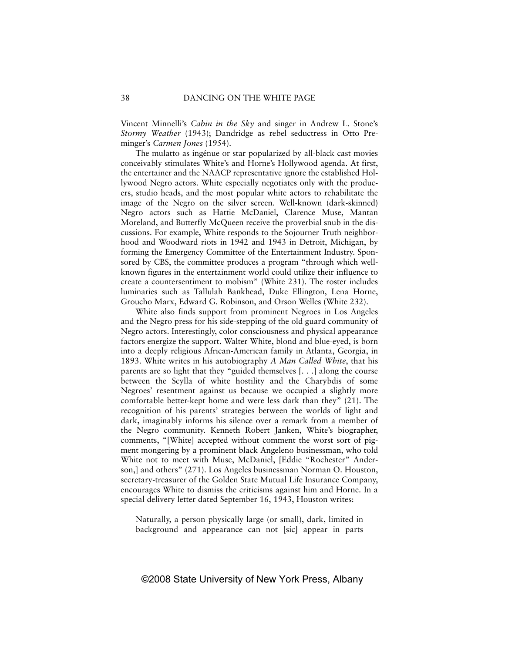Vincent Minnelli's *Cabin in the Sky* and singer in Andrew L. Stone's *Stormy Weather* (1943); Dandridge as rebel seductress in Otto Preminger's *Carmen Jones* (1954).

The mulatto as ingénue or star popularized by all-black cast movies conceivably stimulates White's and Horne's Hollywood agenda. At first, the entertainer and the NAACP representative ignore the established Hollywood Negro actors. White especially negotiates only with the producers, studio heads, and the most popular white actors to rehabilitate the image of the Negro on the silver screen. Well-known (dark-skinned) Negro actors such as Hattie McDaniel, Clarence Muse, Mantan Moreland, and Butterfly McQueen receive the proverbial snub in the discussions. For example, White responds to the Sojourner Truth neighborhood and Woodward riots in 1942 and 1943 in Detroit, Michigan, by forming the Emergency Committee of the Entertainment Industry. Sponsored by CBS, the committee produces a program "through which wellknown figures in the entertainment world could utilize their influence to create a countersentiment to mobism" (White 231). The roster includes luminaries such as Tallulah Bankhead, Duke Ellington, Lena Horne, Groucho Marx, Edward G. Robinson, and Orson Welles (White 232).

White also finds support from prominent Negroes in Los Angeles and the Negro press for his side-stepping of the old guard community of Negro actors. Interestingly, color consciousness and physical appearance factors energize the support. Walter White, blond and blue-eyed, is born into a deeply religious African-American family in Atlanta, Georgia, in 1893. White writes in his autobiography *A Man Called White*, that his parents are so light that they "guided themselves [. . .] along the course between the Scylla of white hostility and the Charybdis of some Negroes' resentment against us because we occupied a slightly more comfortable better-kept home and were less dark than they" (21). The recognition of his parents' strategies between the worlds of light and dark, imaginably informs his silence over a remark from a member of the Negro community. Kenneth Robert Janken, White's biographer, comments, "[White] accepted without comment the worst sort of pigment mongering by a prominent black Angeleno businessman, who told White not to meet with Muse, McDaniel, [Eddie "Rochester" Anderson,] and others" (271). Los Angeles businessman Norman O. Houston, secretary-treasurer of the Golden State Mutual Life Insurance Company, encourages White to dismiss the criticisms against him and Horne. In a special delivery letter dated September 16, 1943, Houston writes:

Naturally, a person physically large (or small), dark, limited in background and appearance can not [sic] appear in parts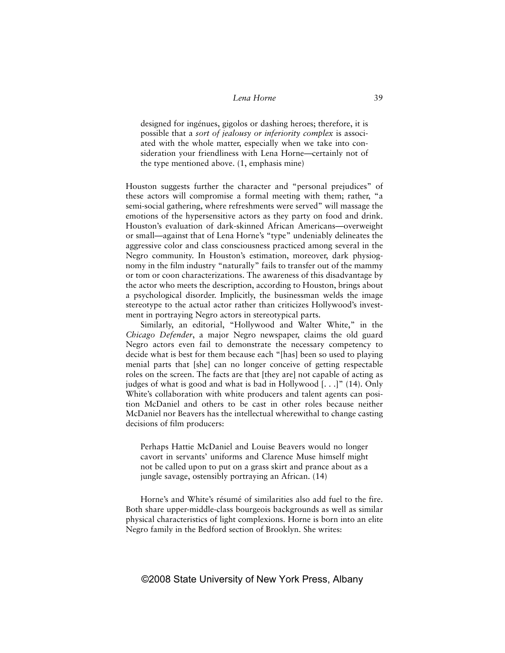### *Lena Horne* 39

designed for ingénues, gigolos or dashing heroes; therefore, it is possible that a *sort of jealousy or inferiority complex* is associated with the whole matter, especially when we take into consideration your friendliness with Lena Horne—certainly not of the type mentioned above. (1, emphasis mine)

Houston suggests further the character and "personal prejudices" of these actors will compromise a formal meeting with them; rather, "a semi-social gathering, where refreshments were served" will massage the emotions of the hypersensitive actors as they party on food and drink. Houston's evaluation of dark-skinned African Americans—overweight or small—against that of Lena Horne's "type" undeniably delineates the aggressive color and class consciousness practiced among several in the Negro community. In Houston's estimation, moreover, dark physiognomy in the film industry "naturally" fails to transfer out of the mammy or tom or coon characterizations. The awareness of this disadvantage by the actor who meets the description, according to Houston, brings about a psychological disorder. Implicitly, the businessman welds the image stereotype to the actual actor rather than criticizes Hollywood's investment in portraying Negro actors in stereotypical parts.

Similarly, an editorial, "Hollywood and Walter White," in the *Chicago Defender*, a major Negro newspaper, claims the old guard Negro actors even fail to demonstrate the necessary competency to decide what is best for them because each "[has] been so used to playing menial parts that [she] can no longer conceive of getting respectable roles on the screen. The facts are that [they are] not capable of acting as judges of what is good and what is bad in Hollywood [. . .]" (14). Only White's collaboration with white producers and talent agents can position McDaniel and others to be cast in other roles because neither McDaniel nor Beavers has the intellectual wherewithal to change casting decisions of film producers:

Perhaps Hattie McDaniel and Louise Beavers would no longer cavort in servants' uniforms and Clarence Muse himself might not be called upon to put on a grass skirt and prance about as a jungle savage, ostensibly portraying an African. (14)

Horne's and White's résumé of similarities also add fuel to the fire. Both share upper-middle-class bourgeois backgrounds as well as similar physical characteristics of light complexions. Horne is born into an elite Negro family in the Bedford section of Brooklyn. She writes: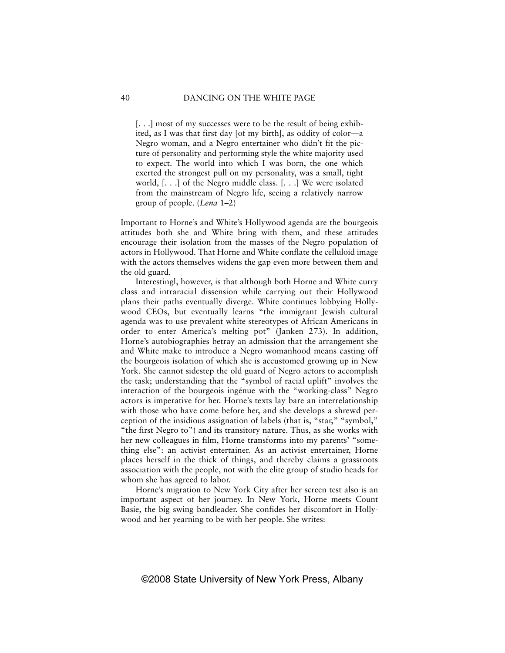[...] most of my successes were to be the result of being exhibited, as I was that first day [of my birth], as oddity of color—a Negro woman, and a Negro entertainer who didn't fit the picture of personality and performing style the white majority used to expect. The world into which I was born, the one which exerted the strongest pull on my personality, was a small, tight world, [. . .] of the Negro middle class. [. . .] We were isolated from the mainstream of Negro life, seeing a relatively narrow group of people. (*Lena* 1–2)

Important to Horne's and White's Hollywood agenda are the bourgeois attitudes both she and White bring with them, and these attitudes encourage their isolation from the masses of the Negro population of actors in Hollywood. That Horne and White conflate the celluloid image with the actors themselves widens the gap even more between them and the old guard.

Interestingl, however, is that although both Horne and White curry class and intraracial dissension while carrying out their Hollywood plans their paths eventually diverge. White continues lobbying Hollywood CEOs, but eventually learns "the immigrant Jewish cultural agenda was to use prevalent white stereotypes of African Americans in order to enter America's melting pot" (Janken 273). In addition, Horne's autobiographies betray an admission that the arrangement she and White make to introduce a Negro womanhood means casting off the bourgeois isolation of which she is accustomed growing up in New York. She cannot sidestep the old guard of Negro actors to accomplish the task; understanding that the "symbol of racial uplift" involves the interaction of the bourgeois ingénue with the "working-class" Negro actors is imperative for her. Horne's texts lay bare an interrelationship with those who have come before her, and she develops a shrewd perception of the insidious assignation of labels (that is, "star," "symbol," "the first Negro to") and its transitory nature. Thus, as she works with her new colleagues in film, Horne transforms into my parents' "something else": an activist entertainer. As an activist entertainer, Horne places herself in the thick of things, and thereby claims a grassroots association with the people, not with the elite group of studio heads for whom she has agreed to labor.

Horne's migration to New York City after her screen test also is an important aspect of her journey. In New York, Horne meets Count Basie, the big swing bandleader. She confides her discomfort in Hollywood and her yearning to be with her people. She writes: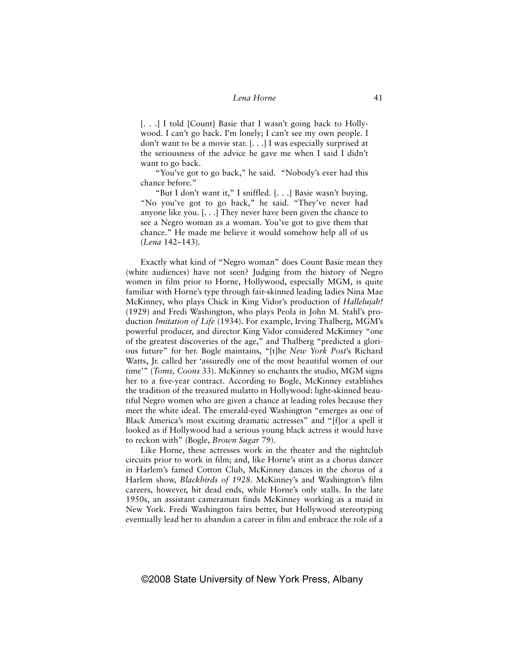[...] I told [Count] Basie that I wasn't going back to Hollywood. I can't go back. I'm lonely; I can't see my own people. I don't want to be a movie star. [. . .] I was especially surprised at the seriousness of the advice he gave me when I said I didn't want to go back.

"You've got to go back," he said. "Nobody's ever had this chance before."

"But I don't want it," I sniffled. [. . .] Basie wasn't buying. "No you've got to go back," he said. "They've never had anyone like you. [. . .] They never have been given the chance to see a Negro woman as a woman. You've got to give them that chance." He made me believe it would somehow help all of us (*Lena* 142–143).

Exactly what kind of "Negro woman" does Count Basie mean they (white audiences) have not seen? Judging from the history of Negro women in film prior to Horne, Hollywood, especially MGM, is quite familiar with Horne's type through fair-skinned leading ladies Nina Mae McKinney, who plays Chick in King Vidor's production of *Hallelujah!* (1929) and Fredi Washington, who plays Peola in John M. Stahl's production *Imitation of Life* (1934). For example, Irving Thalberg, MGM's powerful producer, and director King Vidor considered McKinney "one of the greatest discoveries of the age," and Thalberg "predicted a glorious future" for her. Bogle maintains, "[t]he *New York Post*'s Richard Watts, Jr. called her 'assuredly one of the most beautiful women of our time'" (*Toms, Coons* 33). McKinney so enchants the studio, MGM signs her to a five-year contract. According to Bogle, McKinney establishes the tradition of the treasured mulatto in Hollywood: light-skinned beautiful Negro women who are given a chance at leading roles because they meet the white ideal. The emerald-eyed Washington "emerges as one of Black America's most exciting dramatic actresses" and "[f]or a spell it looked as if Hollywood had a serious young black actress it would have to reckon with" (Bogle, *Brown Sugar* 79).

Like Horne, these actresses work in the theater and the nightclub circuits prior to work in film; and, like Horne's stint as a chorus dancer in Harlem's famed Cotton Club, McKinney dances in the chorus of a Harlem show, *Blackbirds of 1928*. McKinney's and Washington's film careers, however, hit dead ends, while Horne's only stalls. In the late 1950s, an assistant cameraman finds McKinney working as a maid in New York. Fredi Washington fairs better, but Hollywood stereotyping eventually lead her to abandon a career in film and embrace the role of a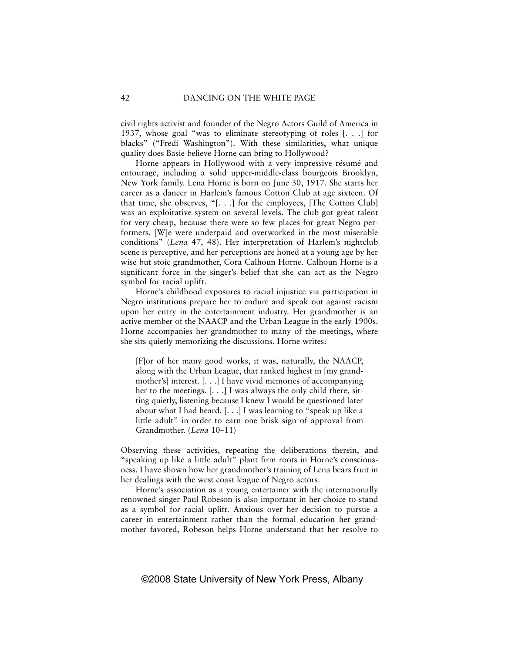civil rights activist and founder of the Negro Actors Guild of America in 1937, whose goal "was to eliminate stereotyping of roles [. . .] for blacks" ("Fredi Washington"). With these similarities, what unique quality does Basie believe Horne can bring to Hollywood?

Horne appears in Hollywood with a very impressive résumé and entourage, including a solid upper-middle-class bourgeois Brooklyn, New York family. Lena Horne is born on June 30, 1917. She starts her career as a dancer in Harlem's famous Cotton Club at age sixteen. Of that time, she observes, "[. . .] for the employees, [The Cotton Club] was an exploitative system on several levels. The club got great talent for very cheap, because there were so few places for great Negro performers. [W]e were underpaid and overworked in the most miserable conditions" (*Lena* 47, 48). Her interpretation of Harlem's nightclub scene is perceptive, and her perceptions are honed at a young age by her wise but stoic grandmother, Cora Calhoun Horne. Calhoun Horne is a significant force in the singer's belief that she can act as the Negro symbol for racial uplift.

Horne's childhood exposures to racial injustice via participation in Negro institutions prepare her to endure and speak out against racism upon her entry in the entertainment industry. Her grandmother is an active member of the NAACP and the Urban League in the early 1900s. Horne accompanies her grandmother to many of the meetings, where she sits quietly memorizing the discussions. Horne writes:

[F]or of her many good works, it was, naturally, the NAACP, along with the Urban League, that ranked highest in [my grandmother's] interest. [. . .] I have vivid memories of accompanying her to the meetings. [...] I was always the only child there, sitting quietly, listening because I knew I would be questioned later about what I had heard. [. . .] I was learning to "speak up like a little adult" in order to earn one brisk sign of approval from Grandmother. (*Lena* 10–11)

Observing these activities, repeating the deliberations therein, and "speaking up like a little adult" plant firm roots in Horne's consciousness. I have shown how her grandmother's training of Lena bears fruit in her dealings with the west coast league of Negro actors.

Horne's association as a young entertainer with the internationally renowned singer Paul Robeson is also important in her choice to stand as a symbol for racial uplift. Anxious over her decision to pursue a career in entertainment rather than the formal education her grandmother favored, Robeson helps Horne understand that her resolve to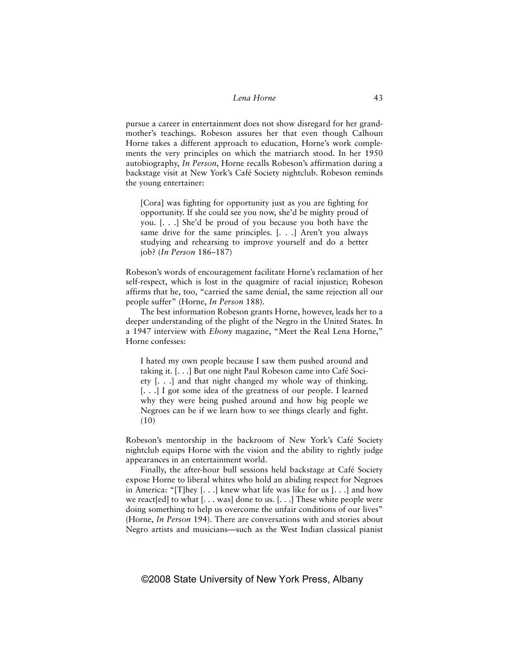pursue a career in entertainment does not show disregard for her grandmother's teachings. Robeson assures her that even though Calhoun Horne takes a different approach to education, Horne's work complements the very principles on which the matriarch stood. In her 1950 autobiography, *In Person*, Horne recalls Robeson's affirmation during a backstage visit at New York's Café Society nightclub. Robeson reminds the young entertainer:

[Cora] was fighting for opportunity just as you are fighting for opportunity. If she could see you now, she'd be mighty proud of you. [. . .] She'd be proud of you because you both have the same drive for the same principles. [. . .] Aren't you always studying and rehearsing to improve yourself and do a better job? (*In Person* 186–187)

Robeson's words of encouragement facilitate Horne's reclamation of her self-respect, which is lost in the quagmire of racial injustice; Robeson affirms that he, too, "carried the same denial, the same rejection all our people suffer" (Horne, *In Person* 188).

The best information Robeson grants Horne, however, leads her to a deeper understanding of the plight of the Negro in the United States. In a 1947 interview with *Ebony* magazine, "Meet the Real Lena Horne," Horne confesses:

I hated my own people because I saw them pushed around and taking it. [. . .] But one night Paul Robeson came into Café Society [. . .] and that night changed my whole way of thinking. [. . .] I got some idea of the greatness of our people. I learned why they were being pushed around and how big people we Negroes can be if we learn how to see things clearly and fight. (10)

Robeson's mentorship in the backroom of New York's Café Society nightclub equips Horne with the vision and the ability to rightly judge appearances in an entertainment world.

Finally, the after-hour bull sessions held backstage at Café Society expose Horne to liberal whites who hold an abiding respect for Negroes in America: "[T]hey [. . .] knew what life was like for us [. . .] and how we react [ed] to what  $[\dots$  was] done to us.  $[\dots]$  These white people were doing something to help us overcome the unfair conditions of our lives" (Horne, *In Person* 194). There are conversations with and stories about Negro artists and musicians—such as the West Indian classical pianist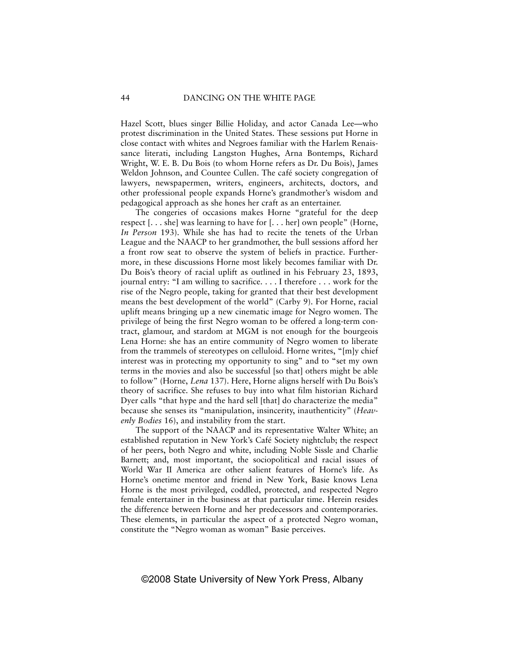Hazel Scott, blues singer Billie Holiday, and actor Canada Lee—who protest discrimination in the United States. These sessions put Horne in close contact with whites and Negroes familiar with the Harlem Renaissance literati, including Langston Hughes, Arna Bontemps, Richard Wright, W. E. B. Du Bois (to whom Horne refers as Dr. Du Bois), James Weldon Johnson, and Countee Cullen. The café society congregation of lawyers, newspapermen, writers, engineers, architects, doctors, and other professional people expands Horne's grandmother's wisdom and pedagogical approach as she hones her craft as an entertainer.

The congeries of occasions makes Horne "grateful for the deep respect [. . . she] was learning to have for [. . . her] own people" (Horne, *In Person* 193). While she has had to recite the tenets of the Urban League and the NAACP to her grandmother, the bull sessions afford her a front row seat to observe the system of beliefs in practice. Furthermore, in these discussions Horne most likely becomes familiar with Dr. Du Bois's theory of racial uplift as outlined in his February 23, 1893, journal entry: "I am willing to sacrifice. ...I therefore . . . work for the rise of the Negro people, taking for granted that their best development means the best development of the world" (Carby 9). For Horne, racial uplift means bringing up a new cinematic image for Negro women. The privilege of being the first Negro woman to be offered a long-term contract, glamour, and stardom at MGM is not enough for the bourgeois Lena Horne: she has an entire community of Negro women to liberate from the trammels of stereotypes on celluloid. Horne writes, "[m]y chief interest was in protecting my opportunity to sing" and to "set my own terms in the movies and also be successful [so that] others might be able to follow" (Horne, *Lena* 137). Here, Horne aligns herself with Du Bois's theory of sacrifice. She refuses to buy into what film historian Richard Dyer calls "that hype and the hard sell [that] do characterize the media" because she senses its "manipulation, insincerity, inauthenticity" (*Heavenly Bodies* 16), and instability from the start.

The support of the NAACP and its representative Walter White; an established reputation in New York's Café Society nightclub; the respect of her peers, both Negro and white, including Noble Sissle and Charlie Barnett; and, most important, the sociopolitical and racial issues of World War II America are other salient features of Horne's life. As Horne's onetime mentor and friend in New York, Basie knows Lena Horne is the most privileged, coddled, protected, and respected Negro female entertainer in the business at that particular time. Herein resides the difference between Horne and her predecessors and contemporaries. These elements, in particular the aspect of a protected Negro woman, constitute the "Negro woman as woman" Basie perceives.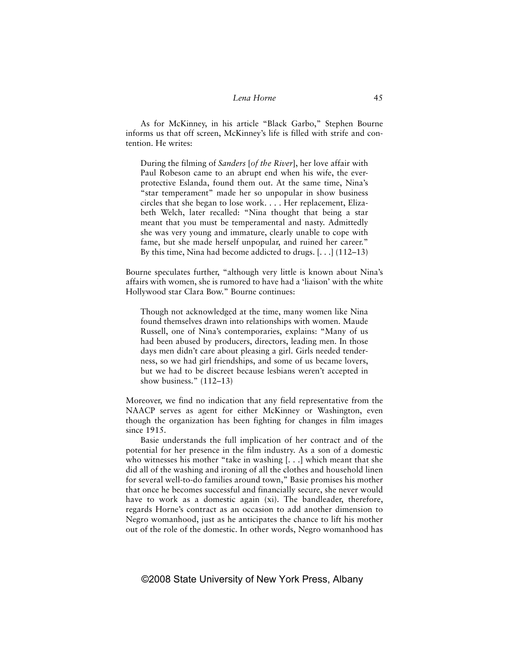As for McKinney, in his article "Black Garbo," Stephen Bourne informs us that off screen, McKinney's life is filled with strife and contention. He writes:

During the filming of *Sanders* [*of the River*], her love affair with Paul Robeson came to an abrupt end when his wife, the everprotective Eslanda, found them out. At the same time, Nina's "star temperament" made her so unpopular in show business circles that she began to lose work. . . . Her replacement, Elizabeth Welch, later recalled: "Nina thought that being a star meant that you must be temperamental and nasty. Admittedly she was very young and immature, clearly unable to cope with fame, but she made herself unpopular, and ruined her career." By this time, Nina had become addicted to drugs. [. . .] (112–13)

Bourne speculates further, "although very little is known about Nina's affairs with women, she is rumored to have had a 'liaison' with the white Hollywood star Clara Bow." Bourne continues:

Though not acknowledged at the time, many women like Nina found themselves drawn into relationships with women. Maude Russell, one of Nina's contemporaries, explains: "Many of us had been abused by producers, directors, leading men. In those days men didn't care about pleasing a girl. Girls needed tenderness, so we had girl friendships, and some of us became lovers, but we had to be discreet because lesbians weren't accepted in show business." (112–13)

Moreover, we find no indication that any field representative from the NAACP serves as agent for either McKinney or Washington, even though the organization has been fighting for changes in film images since 1915.

Basie understands the full implication of her contract and of the potential for her presence in the film industry. As a son of a domestic who witnesses his mother "take in washing [. . .] which meant that she did all of the washing and ironing of all the clothes and household linen for several well-to-do families around town," Basie promises his mother that once he becomes successful and financially secure, she never would have to work as a domestic again (xi). The bandleader, therefore, regards Horne's contract as an occasion to add another dimension to Negro womanhood, just as he anticipates the chance to lift his mother out of the role of the domestic. In other words, Negro womanhood has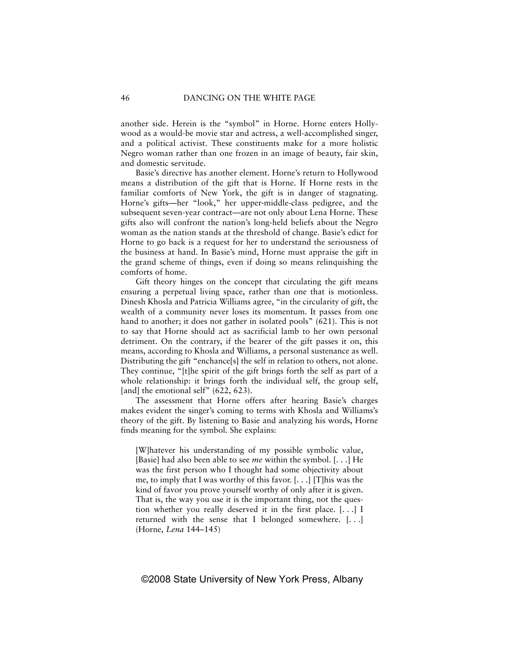another side. Herein is the "symbol" in Horne. Horne enters Hollywood as a would-be movie star and actress, a well-accomplished singer, and a political activist. These constituents make for a more holistic Negro woman rather than one frozen in an image of beauty, fair skin, and domestic servitude.

Basie's directive has another element. Horne's return to Hollywood means a distribution of the gift that is Horne. If Horne rests in the familiar comforts of New York, the gift is in danger of stagnating. Horne's gifts—her "look," her upper-middle-class pedigree, and the subsequent seven-year contract—are not only about Lena Horne. These gifts also will confront the nation's long-held beliefs about the Negro woman as the nation stands at the threshold of change. Basie's edict for Horne to go back is a request for her to understand the seriousness of the business at hand. In Basie's mind, Horne must appraise the gift in the grand scheme of things, even if doing so means relinquishing the comforts of home.

Gift theory hinges on the concept that circulating the gift means ensuring a perpetual living space, rather than one that is motionless. Dinesh Khosla and Patricia Williams agree, "in the circularity of gift, the wealth of a community never loses its momentum. It passes from one hand to another; it does not gather in isolated pools" (621). This is not to say that Horne should act as sacrificial lamb to her own personal detriment. On the contrary, if the bearer of the gift passes it on, this means, according to Khosla and Williams, a personal sustenance as well. Distributing the gift "enchance[s] the self in relation to others, not alone. They continue, "[t]he spirit of the gift brings forth the self as part of a whole relationship: it brings forth the individual self, the group self, [and] the emotional self" (622, 623).

The assessment that Horne offers after hearing Basie's charges makes evident the singer's coming to terms with Khosla and Williams's theory of the gift. By listening to Basie and analyzing his words, Horne finds meaning for the symbol. She explains:

[W]hatever his understanding of my possible symbolic value, [Basie] had also been able to see *me* within the symbol. [. . .] He was the first person who I thought had some objectivity about me, to imply that I was worthy of this favor. [. . .] [T]his was the kind of favor you prove yourself worthy of only after it is given. That is, the way you use it is the important thing, not the question whether you really deserved it in the first place. [. . .] I returned with the sense that I belonged somewhere. [. . .] (Horne, *Lena* 144–145)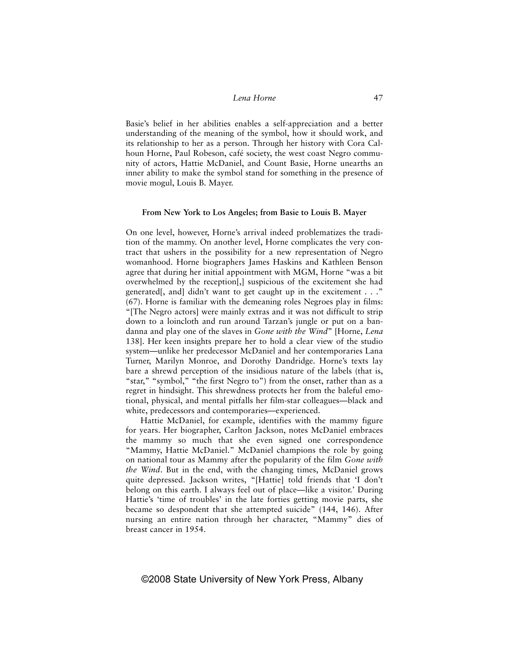#### *Lena Horne* 47

Basie's belief in her abilities enables a self-appreciation and a better understanding of the meaning of the symbol, how it should work, and its relationship to her as a person. Through her history with Cora Calhoun Horne, Paul Robeson, café society, the west coast Negro community of actors, Hattie McDaniel, and Count Basie, Horne unearths an inner ability to make the symbol stand for something in the presence of movie mogul, Louis B. Mayer.

## **From New York to Los Angeles; from Basie to Louis B. Mayer**

On one level, however, Horne's arrival indeed problematizes the tradition of the mammy. On another level, Horne complicates the very contract that ushers in the possibility for a new representation of Negro womanhood. Horne biographers James Haskins and Kathleen Benson agree that during her initial appointment with MGM, Horne "was a bit overwhelmed by the reception[,] suspicious of the excitement she had generated[, and] didn't want to get caught up in the excitement . . ." (67). Horne is familiar with the demeaning roles Negroes play in films: "[The Negro actors] were mainly extras and it was not difficult to strip down to a loincloth and run around Tarzan's jungle or put on a bandanna and play one of the slaves in *Gone with the Wind*" [Horne, *Lena* 138]. Her keen insights prepare her to hold a clear view of the studio system—unlike her predecessor McDaniel and her contemporaries Lana Turner, Marilyn Monroe, and Dorothy Dandridge. Horne's texts lay bare a shrewd perception of the insidious nature of the labels (that is, "star," "symbol," "the first Negro to") from the onset, rather than as a regret in hindsight. This shrewdness protects her from the baleful emotional, physical, and mental pitfalls her film-star colleagues—black and white, predecessors and contemporaries—experienced.

Hattie McDaniel, for example, identifies with the mammy figure for years. Her biographer, Carlton Jackson, notes McDaniel embraces the mammy so much that she even signed one correspondence "Mammy, Hattie McDaniel." McDaniel champions the role by going on national tour as Mammy after the popularity of the film *Gone with the Wind*. But in the end, with the changing times, McDaniel grows quite depressed. Jackson writes, "[Hattie] told friends that 'I don't belong on this earth. I always feel out of place—like a visitor.' During Hattie's 'time of troubles' in the late forties getting movie parts, she became so despondent that she attempted suicide" (144, 146). After nursing an entire nation through her character, "Mammy" dies of breast cancer in 1954.